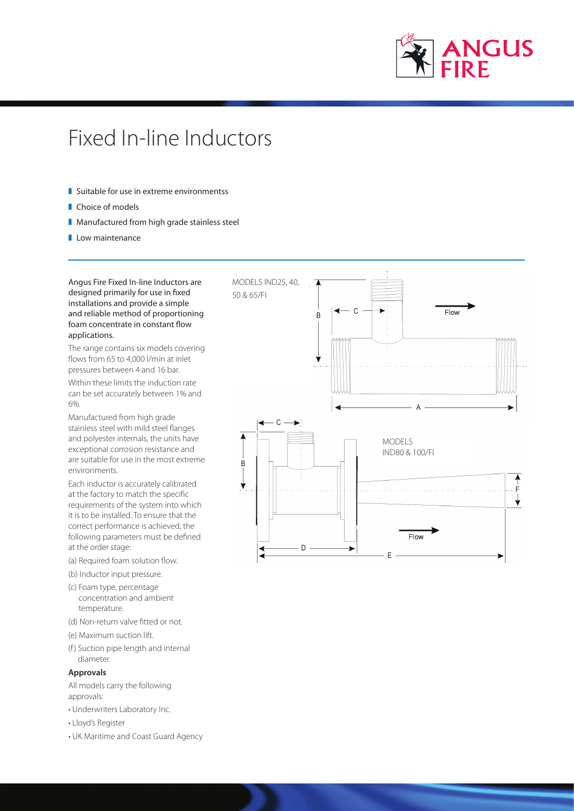

# Fixed In-line Inductors

- $\blacksquare$  Suitable for use in extreme environmentss
- Choice of models
- **I** Manufactured from high grade stainless steel
- $\blacksquare$  Low maintenance

Angus Fire Fixed In-line Inductors are designed primarily for use in fixed installations and provide a simple and reliable method of proportioning foam concentrate in constant flow applications.

The range contains six models covering flows from 65 to 4,000 l/min at inlet pressures between 4 and 16 bar.

Within these limits the induction rate can be set accurately between 1% and 6%.

Manufactured from high grade stainless steel with mild steel flanges and polyester internals, the units have exceptional corrosion resistance and are suitable for use in the most extreme environments.

Each inductor is accurately calibrated at the factory to match the specific requirements of the system into which it is to be installed. To ensure that the correct performance is achieved, the following parameters must be defined at the order stage:

- (a) Required foam solution flow.
- (b) Inductor input pressure.
- (c) Foam type, percentage concentration and ambient temperature.
- (d) Non-return valve fitted or not.
- (e) Maximum suction lift.
- (f) Suction pipe length and internal diameter.

## **Approvals**

All models carry the following approvals:

- Underwriters Laboratory Inc.
- Lloyd's Register
- UK Maritime and Coast Guard Agency